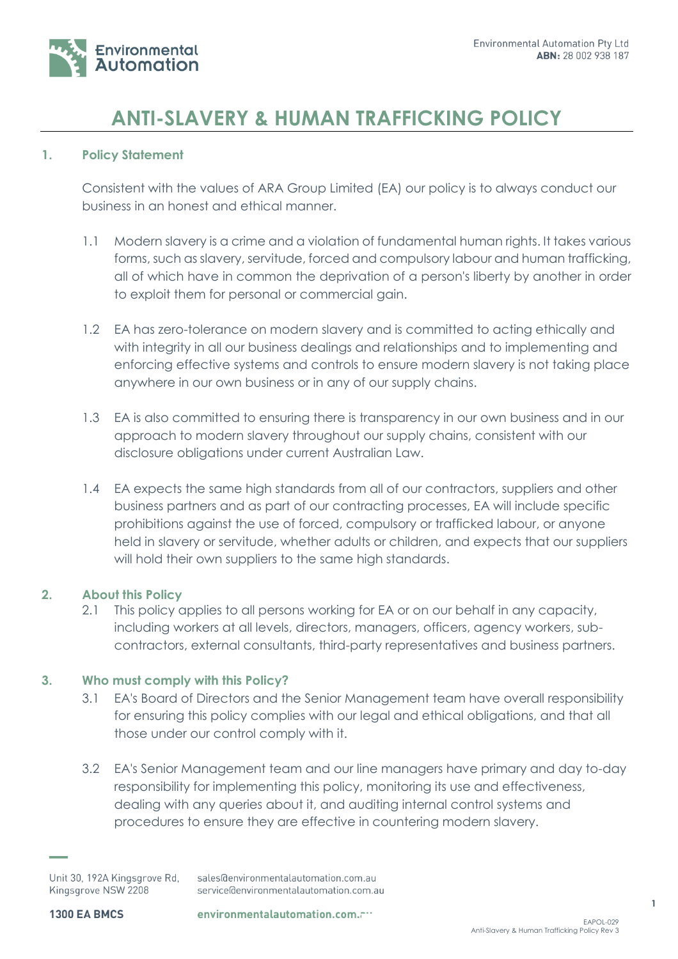

# **ANTI-SLAVERY & HUMAN TRAFFICKING POLICY**

# **1. Policy Statement**

Consistent with the values of ARA Group Limited (EA) our policy is to always conduct our business in an honest and ethical manner.

- 1.1 Modern slavery is a crime and a violation of fundamental human rights. It takes various forms, such as slavery, servitude, forced and compulsory labour and human trafficking, all of which have in common the deprivation of a person's liberty by another in order to exploit them for personal or commercial gain.
- 1.2 EA has zero-tolerance on modern slavery and is committed to acting ethically and with integrity in all our business dealings and relationships and to implementing and enforcing effective systems and controls to ensure modern slavery is not taking place anywhere in our own business or in any of our supply chains.
- 1.3 EA is also committed to ensuring there is transparency in our own business and in our approach to modern slavery throughout our supply chains, consistent with our disclosure obligations under current Australian Law.
- 1.4 EA expects the same high standards from all of our contractors, suppliers and other business partners and as part of our contracting processes, EA will include specific prohibitions against the use of forced, compulsory or trafficked labour, or anyone held in slavery or servitude, whether adults or children, and expects that our suppliers will hold their own suppliers to the same high standards.

# **2. About this Policy**

2.1 This policy applies to all persons working for EA or on our behalf in any capacity, including workers at all levels, directors, managers, officers, agency workers, subcontractors, external consultants, third-party representatives and business partners.

# **3. Who must comply with this Policy?**

- 3.1 EA's Board of Directors and the Senior Management team have overall responsibility for ensuring this policy complies with our legal and ethical obligations, and that all those under our control comply with it.
- 3.2 EA's Senior Management team and our line managers have primary and day to-day responsibility for implementing this policy, monitoring its use and effectiveness, dealing with any queries about it, and auditing internal control systems and procedures to ensure they are effective in countering modern slavery.

Unit 30, 192A Kingsgrove Rd, sales@environmentalautomation.com.au Kingsgrove NSW 2208 service@environmentalautomation.com.au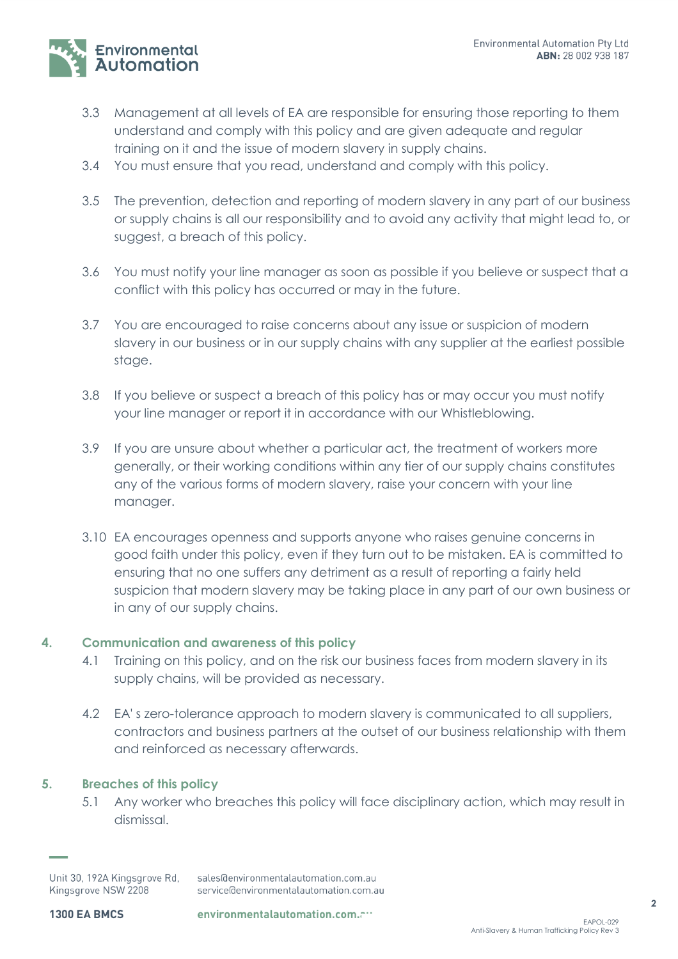

- 3.3 Management at all levels of EA are responsible for ensuring those reporting to them understand and comply with this policy and are given adequate and regular training on it and the issue of modern slavery in supply chains.
- 3.4 You must ensure that you read, understand and comply with this policy.
- 3.5 The prevention, detection and reporting of modern slavery in any part of our business or supply chains is all our responsibility and to avoid any activity that might lead to, or suggest, a breach of this policy.
- 3.6 You must notify your line manager as soon as possible if you believe or suspect that a conflict with this policy has occurred or may in the future.
- 3.7 You are encouraged to raise concerns about any issue or suspicion of modern slavery in our business or in our supply chains with any supplier at the earliest possible stage.
- 3.8 If you believe or suspect a breach of this policy has or may occur you must notify your line manager or report it in accordance with our Whistleblowing.
- 3.9 If you are unsure about whether a particular act, the treatment of workers more generally, or their working conditions within any tier of our supply chains constitutes any of the various forms of modern slavery, raise your concern with your line manager.
- 3.10 EA encourages openness and supports anyone who raises genuine concerns in good faith under this policy, even if they turn out to be mistaken. EA is committed to ensuring that no one suffers any detriment as a result of reporting a fairly held suspicion that modern slavery may be taking place in any part of our own business or in any of our supply chains.

# **4. Communication and awareness of this policy**

- 4.1 Training on this policy, and on the risk our business faces from modern slavery in its supply chains, will be provided as necessary.
- 4.2 EA's zero-tolerance approach to modern slavery is communicated to all suppliers, contractors and business partners at the outset of our business relationship with them and reinforced as necessary afterwards.

# **5. Breaches of this policy**

5.1 Any worker who breaches this policy will face disciplinary action, which may result in dismissal.

Unit 30, 192A Kingsgrove Rd, sales@environmentalautomation.com.au Kingsgrove NSW 2208 service@environmentalautomation.com.au